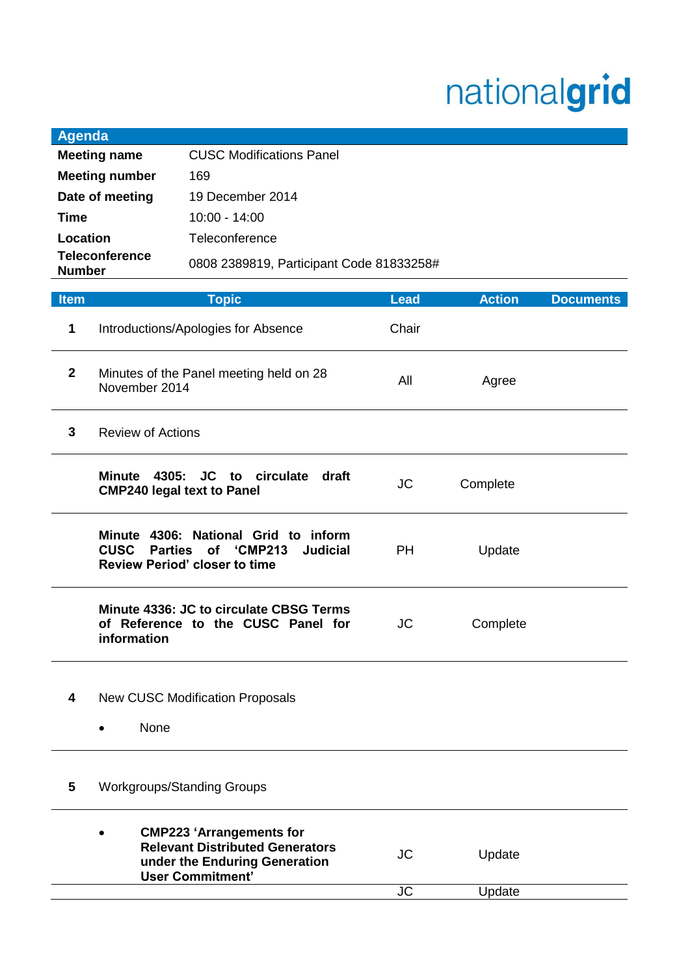## nationalgrid

Update

 $JC$ 

| <b>Agenda</b>         |                                                         |                                                                                                                                       |             |               |                  |  |
|-----------------------|---------------------------------------------------------|---------------------------------------------------------------------------------------------------------------------------------------|-------------|---------------|------------------|--|
| <b>Meeting name</b>   |                                                         | <b>CUSC Modifications Panel</b>                                                                                                       |             |               |                  |  |
| <b>Meeting number</b> |                                                         | 169                                                                                                                                   |             |               |                  |  |
| Date of meeting       |                                                         | 19 December 2014                                                                                                                      |             |               |                  |  |
| <b>Time</b>           |                                                         | 10:00 - 14:00                                                                                                                         |             |               |                  |  |
| Location              |                                                         | Teleconference                                                                                                                        |             |               |                  |  |
| <b>Teleconference</b> |                                                         | 0808 2389819, Participant Code 81833258#                                                                                              |             |               |                  |  |
| <b>Number</b>         |                                                         |                                                                                                                                       |             |               |                  |  |
| <b>Item</b>           |                                                         | <b>Topic</b>                                                                                                                          | <b>Lead</b> | <b>Action</b> | <b>Documents</b> |  |
| 1                     |                                                         | Introductions/Apologies for Absence                                                                                                   | Chair       |               |                  |  |
| $\mathbf{2}$          | November 2014                                           | Minutes of the Panel meeting held on 28                                                                                               | All         | Agree         |                  |  |
| 3                     | <b>Review of Actions</b>                                |                                                                                                                                       |             |               |                  |  |
|                       | Minute 4305: JC to<br><b>CMP240 legal text to Panel</b> | circulate<br>draft                                                                                                                    | <b>JC</b>   | Complete      |                  |  |
|                       | <b>CUSC</b>                                             | Minute 4306: National Grid to inform<br>Parties of 'CMP213<br><b>Judicial</b><br><b>Review Period' closer to time</b>                 | <b>PH</b>   | Update        |                  |  |
|                       | information                                             | Minute 4336: JC to circulate CBSG Terms<br>of Reference to the CUSC Panel for                                                         | <b>JC</b>   | Complete      |                  |  |
| 4                     | None                                                    | <b>New CUSC Modification Proposals</b>                                                                                                |             |               |                  |  |
| 5                     |                                                         | <b>Workgroups/Standing Groups</b>                                                                                                     |             |               |                  |  |
|                       |                                                         | <b>CMP223 'Arrangements for</b><br><b>Relevant Distributed Generators</b><br>under the Enduring Generation<br><b>User Commitment'</b> | <b>JC</b>   | Update        |                  |  |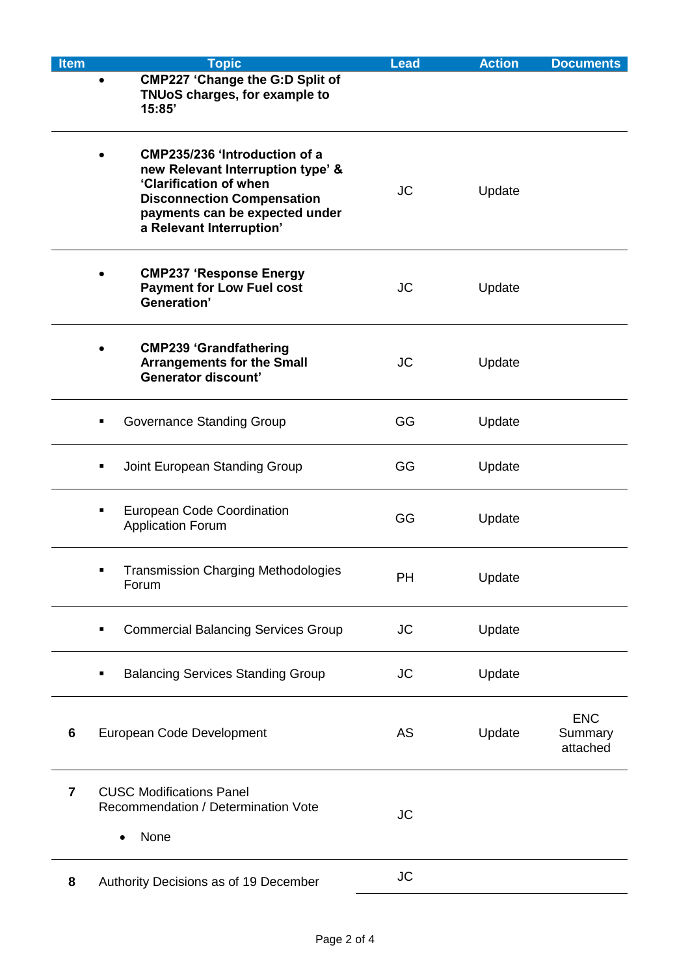| <b>Item</b> | <b>Topic</b>                                                                                                                                                                                    | <b>Lead</b> | <b>Action</b> | <b>Documents</b>                  |
|-------------|-------------------------------------------------------------------------------------------------------------------------------------------------------------------------------------------------|-------------|---------------|-----------------------------------|
|             | <b>CMP227 'Change the G:D Split of</b><br>TNUoS charges, for example to<br>15:85'                                                                                                               |             |               |                                   |
|             | CMP235/236 'Introduction of a<br>new Relevant Interruption type' &<br>'Clarification of when<br><b>Disconnection Compensation</b><br>payments can be expected under<br>a Relevant Interruption' | <b>JC</b>   | Update        |                                   |
|             | <b>CMP237 'Response Energy</b><br><b>Payment for Low Fuel cost</b><br>Generation'                                                                                                               | <b>JC</b>   | Update        |                                   |
|             | <b>CMP239 'Grandfathering</b><br><b>Arrangements for the Small</b><br><b>Generator discount'</b>                                                                                                | <b>JC</b>   | Update        |                                   |
|             | Governance Standing Group<br>٠                                                                                                                                                                  | GG          | Update        |                                   |
|             | Joint European Standing Group<br>٠                                                                                                                                                              | GG          | Update        |                                   |
|             | <b>European Code Coordination</b><br>٠<br><b>Application Forum</b>                                                                                                                              | GG          | Update        |                                   |
|             | <b>Transmission Charging Methodologies</b><br>Forum                                                                                                                                             | PH          | Update        |                                   |
|             | <b>Commercial Balancing Services Group</b><br>٠                                                                                                                                                 | <b>JC</b>   | Update        |                                   |
|             | <b>Balancing Services Standing Group</b><br>п                                                                                                                                                   | <b>JC</b>   | Update        |                                   |
| 6           | European Code Development                                                                                                                                                                       | AS          | Update        | <b>ENC</b><br>Summary<br>attached |
| 7           | <b>CUSC Modifications Panel</b><br>Recommendation / Determination Vote<br>None                                                                                                                  | <b>JC</b>   |               |                                   |
| 8           | Authority Decisions as of 19 December                                                                                                                                                           | <b>JC</b>   |               |                                   |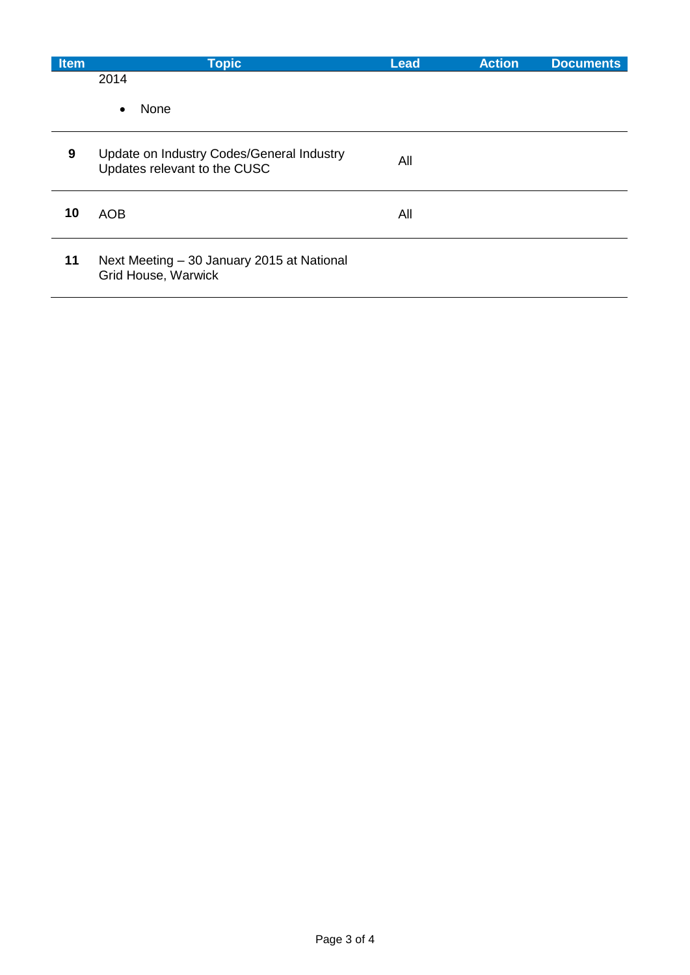| <b>Item</b> | <b>Topic</b>                                                              | <b>Lead</b> | <b>Action</b> | <b>Documents</b> |
|-------------|---------------------------------------------------------------------------|-------------|---------------|------------------|
|             | 2014                                                                      |             |               |                  |
|             | None<br>$\bullet$                                                         |             |               |                  |
| 9           | Update on Industry Codes/General Industry<br>Updates relevant to the CUSC | All         |               |                  |
| 10          | <b>AOB</b>                                                                | All         |               |                  |
| 11          | Next Meeting - 30 January 2015 at National<br><b>Grid House, Warwick</b>  |             |               |                  |